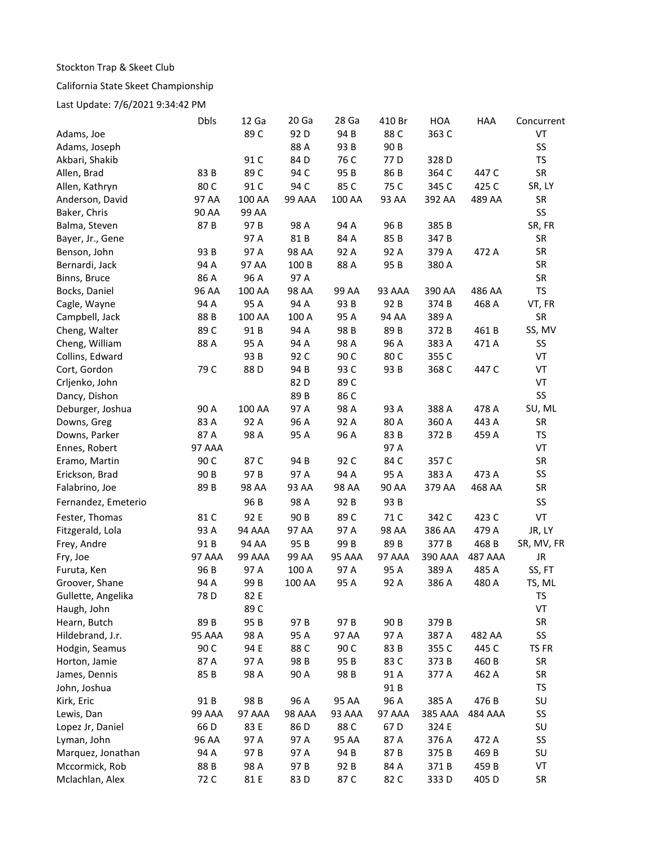## Stockton Trap & Skeet Club

## California State Skeet Championship

Last Update: 7/6/2021 9:34:42 PM

|                     | <b>Dbls</b>     | 12 Ga         | 20 <sub>Ga</sub> | 28 Ga         | 410 Br | HOA     | HAA            | Concurrent |
|---------------------|-----------------|---------------|------------------|---------------|--------|---------|----------------|------------|
| Adams, Joe          |                 | 89 C          | 92 D             | 94 B          | 88 C   | 363 C   |                | VT         |
| Adams, Joseph       |                 |               | 88 A             | 93 B          | 90B    |         |                | SS         |
| Akbari, Shakib      |                 | 91 C          | 84 D             | 76 C          | 77 D   | 328D    |                | <b>TS</b>  |
| Allen, Brad         | 83B             | 89 C          | 94 C             | 95B           | 86 B   | 364 C   | 447 C          | SR         |
| Allen, Kathryn      | 80 C            | 91 C          | 94 C             | 85 C          | 75 C   | 345 C   | 425 C          | SR, LY     |
| Anderson, David     | 97 AA           | 100 AA        | <b>99 AAA</b>    | 100 AA        | 93 AA  | 392 AA  | 489 AA         | SR         |
| Baker, Chris        | 90 AA           | 99 AA         |                  |               |        |         |                | SS         |
| Balma, Steven       | 87B             | 97B           | 98 A             | 94 A          | 96 B   | 385 B   |                | SR, FR     |
| Bayer, Jr., Gene    |                 | 97 A          | 81 B             | 84 A          | 85B    | 347 B   |                | <b>SR</b>  |
| Benson, John        | 93B             | 97 A          | 98 AA            | 92 A          | 92 A   | 379 A   | 472 A          | SR         |
| Bernardi, Jack      | 94 A            | 97 AA         | 100 B            | 88 A          | 95 B   | 380 A   |                | SR         |
| Binns, Bruce        | 86 A            | 96 A          | 97 A             |               |        |         |                | SR         |
| Bocks, Daniel       | 96 AA           | 100 AA        | 98 AA            | 99 AA         | 93 AAA | 390 AA  | 486 AA         | TS         |
| Cagle, Wayne        | 94 A            | 95 A          | 94 A             | 93 B          | 92 B   | 374 B   | 468 A          | VT, FR     |
| Campbell, Jack      | 88B             | 100 AA        | 100 A            | 95 A          | 94 AA  | 389 A   |                | <b>SR</b>  |
| Cheng, Walter       | 89 C            | 91B           | 94 A             | 98 B          | 89B    | 372 B   | 461B           | SS, MV     |
| Cheng, William      | 88 A            | 95 A          | 94 A             | 98 A          | 96 A   | 383 A   | 471 A          | SS         |
| Collins, Edward     |                 | 93B           | 92 C             | 90 C          | 80 C   | 355 C   |                | VT         |
| Cort, Gordon        | 79 C            | 88D           | 94 B             | 93 C          | 93B    | 368 C   | 447 C          | VT         |
| Crljenko, John      |                 |               | 82D              | 89 C          |        |         |                | VT         |
| Dancy, Dishon       |                 |               | 89 B             | 86 C          |        |         |                | SS         |
| Deburger, Joshua    | 90 A            | 100 AA        | 97 A             | 98 A          | 93 A   | 388 A   | 478 A          | SU, ML     |
| Downs, Greg         | 83 A            | 92 A          | 96 A             | 92 A          | 80 A   | 360 A   | 443 A          | SR         |
| Downs, Parker       | 87 A            | 98 A          | 95 A             | 96 A          | 83B    | 372 B   | 459 A          | TS         |
| Ennes, Robert       | 97 AAA          |               |                  |               | 97 A   |         |                | VT         |
| Eramo, Martin       | 90 C            | 87 C          | 94 B             | 92 C          | 84 C   | 357 C   |                | SR         |
| Erickson, Brad      | 90 <sub>B</sub> | 97B           | 97 A             | 94 A          | 95 A   | 383 A   | 473 A          | SS         |
| Falabrino, Joe      | 89B             | 98 AA         | 93 AA            | 98 AA         | 90 AA  | 379 AA  | 468 AA         | SR         |
| Fernandez, Emeterio |                 | 96B           | 98 A             | 92 B          | 93B    |         |                | SS         |
|                     |                 |               |                  |               |        |         |                | VT         |
| Fester, Thomas      | 81 C            | 92 E          | 90 B             | 89 C          | 71 C   | 342 C   | 423 C          |            |
| Fitzgerald, Lola    | 93 A            | <b>94 AAA</b> | 97 AA            | 97 A          | 98 AA  | 386 AA  | 479 A          | JR, LY     |
| Frey, Andre         | 91B             | 94 AA         | 95B              | 99 B          | 89B    | 377 B   | 468 B          | SR, MV, FR |
| Fry, Joe            | 97 AAA          | <b>99 AAA</b> | 99 AA            | <b>95 AAA</b> | 97 AAA | 390 AAA | <b>487 AAA</b> | JR         |
| Furuta, Ken         | 96 B            | 97 A          | 100 A            | 97 A          | 95 A   | 389 A   | 485 A          | SS, FT     |
| Groover, Shane      | 94 A            | 99B           | 100 AA           | 95 A          | 92 A   | 386 A   | 480 A          | TS, ML     |
| Gullette, Angelika  | 78 D            | 82 E          |                  |               |        |         |                | TS         |
| Haugh, John         |                 | 89 C          |                  |               |        |         |                | VT         |
| Hearn, Butch        | 89B             | 95B           | 97B              | 97B           | 90 B   | 379 B   |                | ${\sf SR}$ |
| Hildebrand, J.r.    | <b>95 AAA</b>   | 98 A          | 95 A             | 97 AA         | 97 A   | 387 A   | 482 AA         | SS         |
| Hodgin, Seamus      | 90 C            | 94 E          | 88 C             | 90 C          | 83 B   | 355 C   | 445 C          | TS FR      |
| Horton, Jamie       | 87 A            | 97 A          | 98 B             | 95 B          | 83 C   | 373 B   | 460 B          | SR         |
| James, Dennis       | 85B             | 98 A          | 90 A             | 98 B          | 91 A   | 377 A   | 462 A          | SR         |
| John, Joshua        |                 |               |                  |               | 91 B   |         |                | TS         |
| Kirk, Eric          | 91 B            | 98 B          | 96 A             | 95 AA         | 96 A   | 385 A   | 476 B          | SU         |
| Lewis, Dan          | <b>99 AAA</b>   | 97 AAA        | <b>98 AAA</b>    | 93 AAA        | 97 AAA | 385 AAA | 484 AAA        | SS         |
| Lopez Jr, Daniel    | 66 D            | 83 E          | 86 D             | 88 C          | 67 D   | 324 E   |                | SU         |
| Lyman, John         | 96 AA           | 97 A          | 97 A             | 95 AA         | 87 A   | 376 A   | 472 A          | SS         |
| Marquez, Jonathan   | 94 A            | 97B           | 97 A             | 94 B          | 87B    | 375 B   | 469 B          | SU         |
| Mccormick, Rob      | 88 B            | 98 A          | 97B              | 92 B          | 84 A   | 371B    | 459 B          | VT         |
| Mclachlan, Alex     | 72 C            | 81 E          | 83 D             | 87 C          | 82 C   | 333D    | 405 D          | SR         |